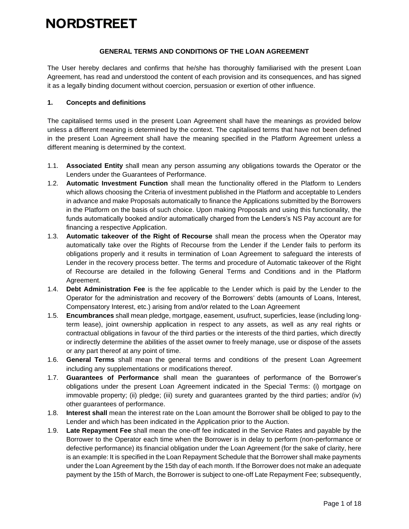#### **GENERAL TERMS AND CONDITIONS OF THE LOAN AGREEMENT**

The User hereby declares and confirms that he/she has thoroughly familiarised with the present Loan Agreement, has read and understood the content of each provision and its consequences, and has signed it as a legally binding document without coercion, persuasion or exertion of other influence.

#### **1. Concepts and definitions**

The capitalised terms used in the present Loan Agreement shall have the meanings as provided below unless a different meaning is determined by the context. The capitalised terms that have not been defined in the present Loan Agreement shall have the meaning specified in the Platform Agreement unless a different meaning is determined by the context.

- 1.1. **Associated Entity** shall mean any person assuming any obligations towards the Operator or the Lenders under the Guarantees of Performance.
- 1.2. **Automatic Investment Function** shall mean the functionality offered in the Platform to Lenders which allows choosing the Criteria of investment published in the Platform and acceptable to Lenders in advance and make Proposals automatically to finance the Applications submitted by the Borrowers in the Platform on the basis of such choice. Upon making Proposals and using this functionality, the funds automatically booked and/or automatically charged from the Lenders's NS Pay account are for financing a respective Application.
- 1.3. **Automatic takeover of the Right of Recourse** shall mean the process when the Operator may automatically take over the Rights of Recourse from the Lender if the Lender fails to perform its obligations properly and it results in termination of Loan Agreement to safeguard the interests of Lender in the recovery process better. The terms and procedure of Automatic takeover of the Right of Recourse are detailed in the following General Terms and Conditions and in the Platform Agreement.
- 1.4. **Debt Administration Fee** is the fee applicable to the Lender which is paid by the Lender to the Operator for the administration and recovery of the Borrowers' debts (amounts of Loans, Interest, Compensatory Interest, etc.) arising from and/or related to the Loan Agreement
- 1.5. **Encumbrances** shall mean pledge, mortgage, easement, usufruct, superficies, lease (including longterm lease), joint ownership application in respect to any assets, as well as any real rights or contractual obligations in favour of the third parties or the interests of the third parties, which directly or indirectly determine the abilities of the asset owner to freely manage, use or dispose of the assets or any part thereof at any point of time.
- 1.6. **General Terms** shall mean the general terms and conditions of the present Loan Agreement including any supplementations or modifications thereof.
- 1.7. **Guarantees of Performance** shall mean the guarantees of performance of the Borrower's obligations under the present Loan Agreement indicated in the Special Terms: (i) mortgage on immovable property; (ii) pledge; (iii) surety and guarantees granted by the third parties; and/or (iv) other guarantees of performance.
- 1.8. **Interest shall** mean the interest rate on the Loan amount the Borrower shall be obliged to pay to the Lender and which has been indicated in the Application prior to the Auction.
- 1.9. **Late Repayment Fee** shall mean the one-off fee indicated in the Service Rates and payable by the Borrower to the Operator each time when the Borrower is in delay to perform (non-performance or defective performance) its financial obligation under the Loan Agreement (for the sake of clarity, here is an example: It is specified in the Loan Repayment Schedule that the Borrower shall make payments under the Loan Agreement by the 15th day of each month. If the Borrower does not make an adequate payment by the 15th of March, the Borrower is subject to one-off Late Repayment Fee; subsequently,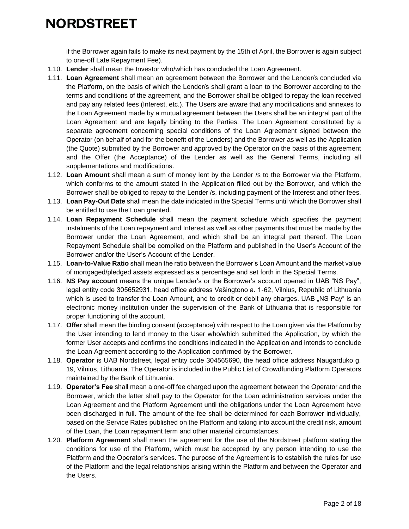if the Borrower again fails to make its next payment by the 15th of April, the Borrower is again subject to one-off Late Repayment Fee).

- 1.10. **Lender** shall mean the Investor who/which has concluded the Loan Agreement.
- 1.11. **Loan Agreement** shall mean an agreement between the Borrower and the Lender/s concluded via the Platform, on the basis of which the Lender/s shall grant a loan to the Borrower according to the terms and conditions of the agreement, and the Borrower shall be obliged to repay the loan received and pay any related fees (Interest, etc.). The Users are aware that any modifications and annexes to the Loan Agreement made by a mutual agreement between the Users shall be an integral part of the Loan Agreement and are legally binding to the Parties. The Loan Agreement constituted by a separate agreement concerning special conditions of the Loan Agreement signed between the Operator (on behalf of and for the benefit of the Lenders) and the Borrower as well as the Application (the Quote) submitted by the Borrower and approved by the Operator on the basis of this agreement and the Offer (the Acceptance) of the Lender as well as the General Terms, including all supplementations and modifications.
- 1.12. **Loan Amount** shall mean a sum of money lent by the Lender /s to the Borrower via the Platform, which conforms to the amount stated in the Application filled out by the Borrower, and which the Borrower shall be obliged to repay to the Lender /s, including payment of the Interest and other fees.
- 1.13. **Loan Pay-Out Date** shall mean the date indicated in the Special Terms until which the Borrower shall be entitled to use the Loan granted.
- 1.14. **Loan Repayment Schedule** shall mean the payment schedule which specifies the payment instalments of the Loan repayment and Interest as well as other payments that must be made by the Borrower under the Loan Agreement, and which shall be an integral part thereof. The Loan Repayment Schedule shall be compiled on the Platform and published in the User's Account of the Borrower and/or the User's Account of the Lender.
- 1.15. **Loan-to-Value Ratio** shall mean the ratio between the Borrower's Loan Amount and the market value of mortgaged/pledged assets expressed as a percentage and set forth in the Special Terms.
- 1.16. **NS Pay account** means the unique Lender's or the Borrower's account opened in UAB "NS Pay", legal entity code 305652931, head office address Vašingtono a. 1-62, Vilnius, Republic of Lithuania which is used to transfer the Loan Amount, and to credit or debit any charges. UAB "NS Pay" is an electronic money institution under the supervision of the Bank of Lithuania that is responsible for proper functioning of the account.
- 1.17. **Offer** shall mean the binding consent (acceptance) with respect to the Loan given via the Platform by the User intending to lend money to the User who/which submitted the Application, by which the former User accepts and confirms the conditions indicated in the Application and intends to conclude the Loan Agreement according to the Application confirmed by the Borrower.
- 1.18. **Operator** is UAB Nordstreet, legal entity code 304565690, the head office address Naugarduko g. 19, Vilnius, Lithuania. The Operator is included in the Public List of Crowdfunding Platform Operators maintained by the Bank of Lithuania.
- 1.19. **Operator's Fee** shall mean a one-off fee charged upon the agreement between the Operator and the Borrower, which the latter shall pay to the Operator for the Loan administration services under the Loan Agreement and the Platform Agreement until the obligations under the Loan Agreement have been discharged in full. The amount of the fee shall be determined for each Borrower individually, based on the Service Rates published on the Platform and taking into account the credit risk, amount of the Loan, the Loan repayment term and other material circumstances.
- 1.20. **Platform Agreement** shall mean the agreement for the use of the Nordstreet platform stating the conditions for use of the Platform, which must be accepted by any person intending to use the Platform and the Operator's services. The purpose of the Agreement is to establish the rules for use of the Platform and the legal relationships arising within the Platform and between the Operator and the Users.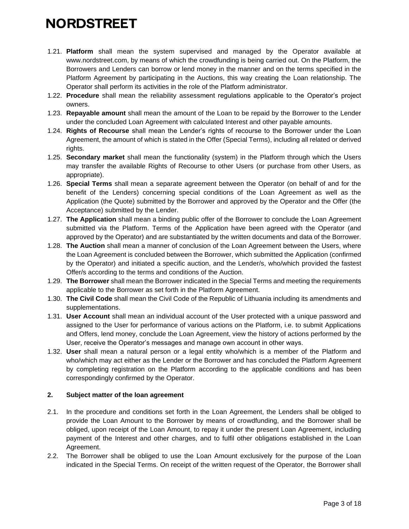- 1.21. **Platform** shall mean the system supervised and managed by the Operator available at www.nordstreet.com, by means of which the crowdfunding is being carried out. On the Platform, the Borrowers and Lenders can borrow or lend money in the manner and on the terms specified in the Platform Agreement by participating in the Auctions, this way creating the Loan relationship. The Operator shall perform its activities in the role of the Platform administrator.
- 1.22. **Procedure** shall mean the reliability assessment regulations applicable to the Operator's project owners.
- 1.23. **Repayable amount** shall mean the amount of the Loan to be repaid by the Borrower to the Lender under the concluded Loan Agreement with calculated Interest and other payable amounts.
- 1.24. **Rights of Recourse** shall mean the Lender's rights of recourse to the Borrower under the Loan Agreement, the amount of which is stated in the Offer (Special Terms), including all related or derived rights.
- 1.25. **Secondary market** shall mean the functionality (system) in the Platform through which the Users may transfer the available Rights of Recourse to other Users (or purchase from other Users, as appropriate).
- 1.26. **Special Terms** shall mean a separate agreement between the Operator (on behalf of and for the benefit of the Lenders) concerning special conditions of the Loan Agreement as well as the Application (the Quote) submitted by the Borrower and approved by the Operator and the Offer (the Acceptance) submitted by the Lender.
- 1.27. **The Application** shall mean a binding public offer of the Borrower to conclude the Loan Agreement submitted via the Platform. Terms of the Application have been agreed with the Operator (and approved by the Operator) and are substantiated by the written documents and data of the Borrower.
- 1.28. **The Auction** shall mean a manner of conclusion of the Loan Agreement between the Users, where the Loan Agreement is concluded between the Borrower, which submitted the Application (confirmed by the Operator) and initiated a specific auction, and the Lender/s, who/which provided the fastest Offer/s according to the terms and conditions of the Auction.
- 1.29. **The Borrower** shall mean the Borrower indicated in the Special Terms and meeting the requirements applicable to the Borrower as set forth in the Platform Agreement.
- 1.30. **The Civil Code** shall mean the Civil Code of the Republic of Lithuania including its amendments and supplementations.
- 1.31. **User Account** shall mean an individual account of the User protected with a unique password and assigned to the User for performance of various actions on the Platform, i.e. to submit Applications and Offers, lend money, conclude the Loan Agreement, view the history of actions performed by the User, receive the Operator's messages and manage own account in other ways.
- 1.32. **User** shall mean a natural person or a legal entity who/which is a member of the Platform and who/which may act either as the Lender or the Borrower and has concluded the Platform Agreement by completing registration on the Platform according to the applicable conditions and has been correspondingly confirmed by the Operator.

### **2. Subject matter of the loan agreement**

- 2.1. In the procedure and conditions set forth in the Loan Agreement, the Lenders shall be obliged to provide the Loan Amount to the Borrower by means of crowdfunding, and the Borrower shall be obliged, upon receipt of the Loan Amount, to repay it under the present Loan Agreement, including payment of the Interest and other charges, and to fulfil other obligations established in the Loan Agreement.
- 2.2. The Borrower shall be obliged to use the Loan Amount exclusively for the purpose of the Loan indicated in the Special Terms. On receipt of the written request of the Operator, the Borrower shall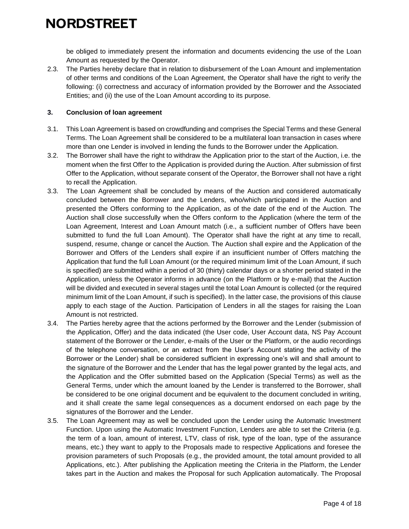be obliged to immediately present the information and documents evidencing the use of the Loan Amount as requested by the Operator.

2.3. The Parties hereby declare that in relation to disbursement of the Loan Amount and implementation of other terms and conditions of the Loan Agreement, the Operator shall have the right to verify the following: (i) correctness and accuracy of information provided by the Borrower and the Associated Entities; and (ii) the use of the Loan Amount according to its purpose.

#### **3. Conclusion of loan agreement**

- 3.1. This Loan Agreement is based on crowdfunding and comprises the Special Terms and these General Terms. The Loan Agreement shall be considered to be a multilateral loan transaction in cases where more than one Lender is involved in lending the funds to the Borrower under the Application.
- 3.2. The Borrower shall have the right to withdraw the Application prior to the start of the Auction, i.e. the moment when the first Offer to the Application is provided during the Auction. After submission of first Offer to the Application, without separate consent of the Operator, the Borrower shall not have a right to recall the Application.
- <span id="page-3-0"></span>3.3. The Loan Agreement shall be concluded by means of the Auction and considered automatically concluded between the Borrower and the Lenders, who/which participated in the Auction and presented the Offers conforming to the Application, as of the date of the end of the Auction. The Auction shall close successfully when the Offers conform to the Application (where the term of the Loan Agreement, Interest and Loan Amount match (i.e., a sufficient number of Offers have been submitted to fund the full Loan Amount). The Operator shall have the right at any time to recall, suspend, resume, change or cancel the Auction. The Auction shall expire and the Application of the Borrower and Offers of the Lenders shall expire if an insufficient number of Offers matching the Application that fund the full Loan Amount (or the required minimum limit of the Loan Amount, if such is specified) are submitted within a period of 30 (thirty) calendar days or a shorter period stated in the Application, unless the Operator informs in advance (on the Platform or by e-mail) that the Auction will be divided and executed in several stages until the total Loan Amount is collected (or the required minimum limit of the Loan Amount, if such is specified). In the latter case, the provisions of this clause apply to each stage of the Auction. Participation of Lenders in all the stages for raising the Loan Amount is not restricted.
- 3.4. The Parties hereby agree that the actions performed by the Borrower and the Lender (submission of the Application, Offer) and the data indicated (the User code, User Account data, NS Pay Account statement of the Borrower or the Lender, e-mails of the User or the Platform, or the audio recordings of the telephone conversation, or an extract from the User's Account stating the activity of the Borrower or the Lender) shall be considered sufficient in expressing one's will and shall amount to the signature of the Borrower and the Lender that has the legal power granted by the legal acts, and the Application and the Offer submitted based on the Application (Special Terms) as well as the General Terms, under which the amount loaned by the Lender is transferred to the Borrower, shall be considered to be one original document and be equivalent to the document concluded in writing, and it shall create the same legal consequences as a document endorsed on each page by the signatures of the Borrower and the Lender.
- 3.5. The Loan Agreement may as well be concluded upon the Lender using the Automatic Investment Function. Upon using the Automatic Investment Function, Lenders are able to set the Criteria (e.g. the term of a loan, amount of interest, LTV, class of risk, type of the loan, type of the assurance means, etc.) they want to apply to the Proposals made to respective Applications and foresee the provision parameters of such Proposals (e.g., the provided amount, the total amount provided to all Applications, etc.). After publishing the Application meeting the Criteria in the Platform, the Lender takes part in the Auction and makes the Proposal for such Application automatically. The Proposal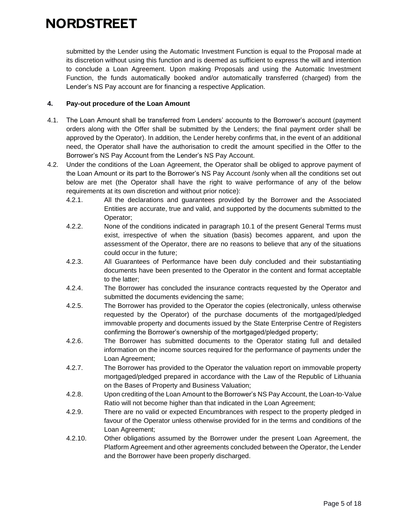submitted by the Lender using the Automatic Investment Function is equal to the Proposal made at its discretion without using this function and is deemed as sufficient to express the will and intention to conclude a Loan Agreement. Upon making Proposals and using the Automatic Investment Function, the funds automatically booked and/or automatically transferred (charged) from the Lender's NS Pay account are for financing a respective Application.

#### **4. Pay-out procedure of the Loan Amount**

- 4.1. The Loan Amount shall be transferred from Lenders' accounts to the Borrower's account (payment orders along with the Offer shall be submitted by the Lenders; the final payment order shall be approved by the Operator). In addition, the Lender hereby confirms that, in the event of an additional need, the Operator shall have the authorisation to credit the amount specified in the Offer to the Borrower's NS Pay Account from the Lender's NS Pay Account.
- <span id="page-4-0"></span>4.2. Under the conditions of the Loan Agreement, the Operator shall be obliged to approve payment of the Loan Amount or its part to the Borrower's NS Pay Account /sonly when all the conditions set out below are met (the Operator shall have the right to waive performance of any of the below requirements at its own discretion and without prior notice):
	- 4.2.1. All the declarations and guarantees provided by the Borrower and the Associated Entities are accurate, true and valid, and supported by the documents submitted to the Operator;
	- 4.2.2. None of the conditions indicated in paragraph [10.1](#page-11-0) of the present General Terms must exist, irrespective of when the situation (basis) becomes apparent, and upon the assessment of the Operator, there are no reasons to believe that any of the situations could occur in the future;
	- 4.2.3. All Guarantees of Performance have been duly concluded and their substantiating documents have been presented to the Operator in the content and format acceptable to the latter;
	- 4.2.4. The Borrower has concluded the insurance contracts requested by the Operator and submitted the documents evidencing the same;
	- 4.2.5. The Borrower has provided to the Operator the copies (electronically, unless otherwise requested by the Operator) of the purchase documents of the mortgaged/pledged immovable property and documents issued by the State Enterprise Centre of Registers confirming the Borrower's ownership of the mortgaged/pledged property;
	- 4.2.6. The Borrower has submitted documents to the Operator stating full and detailed information on the income sources required for the performance of payments under the Loan Agreement;
	- 4.2.7. The Borrower has provided to the Operator the valuation report on immovable property mortgaged/pledged prepared in accordance with the Law of the Republic of Lithuania on the Bases of Property and Business Valuation;
	- 4.2.8. Upon crediting of the Loan Amount to the Borrower's NS Pay Account, the Loan-to-Value Ratio will not become higher than that indicated in the Loan Agreement;
	- 4.2.9. There are no valid or expected Encumbrances with respect to the property pledged in favour of the Operator unless otherwise provided for in the terms and conditions of the Loan Agreement;
	- 4.2.10. Other obligations assumed by the Borrower under the present Loan Agreement, the Platform Agreement and other agreements concluded between the Operator, the Lender and the Borrower have been properly discharged.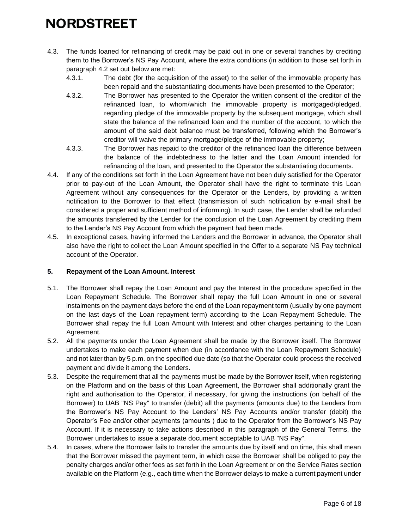- 4.3. The funds loaned for refinancing of credit may be paid out in one or several tranches by crediting them to the Borrower's NS Pay Account, where the extra conditions (in addition to those set forth in paragraph [4.2](#page-4-0) set out below are met:
	- 4.3.1. The debt (for the acquisition of the asset) to the seller of the immovable property has been repaid and the substantiating documents have been presented to the Operator;
	- 4.3.2. The Borrower has presented to the Operator the written consent of the creditor of the refinanced loan, to whom/which the immovable property is mortgaged/pledged, regarding pledge of the immovable property by the subsequent mortgage, which shall state the balance of the refinanced loan and the number of the account, to which the amount of the said debt balance must be transferred, following which the Borrower's creditor will waive the primary mortgage/pledge of the immovable property;
	- 4.3.3. The Borrower has repaid to the creditor of the refinanced loan the difference between the balance of the indebtedness to the latter and the Loan Amount intended for refinancing of the loan, and presented to the Operator the substantiating documents.
- 4.4. If any of the conditions set forth in the Loan Agreement have not been duly satisfied for the Operator prior to pay-out of the Loan Amount, the Operator shall have the right to terminate this Loan Agreement without any consequences for the Operator or the Lenders, by providing a written notification to the Borrower to that effect (transmission of such notification by e-mail shall be considered a proper and sufficient method of informing). In such case, the Lender shall be refunded the amounts transferred by the Lender for the conclusion of the Loan Agreement by crediting them to the Lender's NS Pay Account from which the payment had been made.
- 4.5. In exceptional cases, having informed the Lenders and the Borrower in advance, the Operator shall also have the right to collect the Loan Amount specified in the Offer to a separate NS Pay technical account of the Operator.

#### **5. Repayment of the Loan Amount. Interest**

- 5.1. The Borrower shall repay the Loan Amount and pay the Interest in the procedure specified in the Loan Repayment Schedule. The Borrower shall repay the full Loan Amount in one or several instalments on the payment days before the end of the Loan repayment term (usually by one payment on the last days of the Loan repayment term) according to the Loan Repayment Schedule. The Borrower shall repay the full Loan Amount with Interest and other charges pertaining to the Loan Agreement.
- 5.2. All the payments under the Loan Agreement shall be made by the Borrower itself. The Borrower undertakes to make each payment when due (in accordance with the Loan Repayment Schedule) and not later than by 5 p.m. on the specified due date (so that the Operator could process the received payment and divide it among the Lenders.
- <span id="page-5-0"></span>5.3. Despite the requirement that all the payments must be made by the Borrower itself, when registering on the Platform and on the basis of this Loan Agreement, the Borrower shall additionally grant the right and authorisation to the Operator, if necessary, for giving the instructions (on behalf of the Borrower) to UAB "NS Pay" to transfer (debit) all the payments (amounts due) to the Lenders from the Borrower's NS Pay Account to the Lenders' NS Pay Accounts and/or transfer (debit) the Operator's Fee and/or other payments (amounts ) due to the Operator from the Borrower's NS Pay Account. If it is necessary to take actions described in this paragraph of the General Terms, the Borrower undertakes to issue a separate document acceptable to UAB "NS Pay".
- 5.4. In cases, where the Borrower fails to transfer the amounts due by itself and on time, this shall mean that the Borrower missed the payment term, in which case the Borrower shall be obliged to pay the penalty charges and/or other fees as set forth in the Loan Agreement or on the Service Rates section available on the Platform (e.g., each time when the Borrower delays to make a current payment under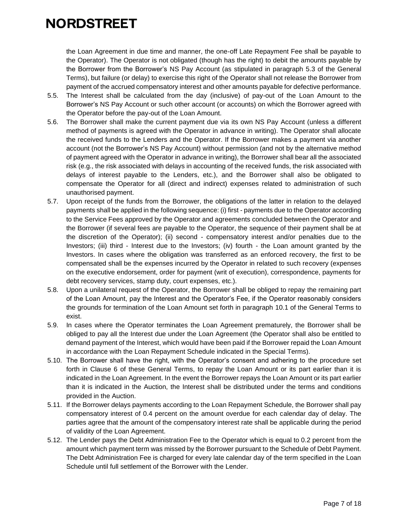the Loan Agreement in due time and manner, the one-off Late Repayment Fee shall be payable to the Operator). The Operator is not obligated (though has the right) to debit the amounts payable by the Borrower from the Borrower's NS Pay Account (as stipulated in paragraph [5.3](#page-5-0) of the General Terms), but failure (or delay) to exercise this right of the Operator shall not release the Borrower from payment of the accrued compensatory interest and other amounts payable for defective performance.

- 5.5. The Interest shall be calculated from the day (inclusive) of pay-out of the Loan Amount to the Borrower's NS Pay Account or such other account (or accounts) on which the Borrower agreed with the Operator before the pay-out of the Loan Amount.
- 5.6. The Borrower shall make the current payment due via its own NS Pay Account (unless a different method of payments is agreed with the Operator in advance in writing). The Operator shall allocate the received funds to the Lenders and the Operator. If the Borrower makes a payment via another account (not the Borrower's NS Pay Account) without permission (and not by the alternative method of payment agreed with the Operator in advance in writing), the Borrower shall bear all the associated risk (e.g., the risk associated with delays in accounting of the received funds, the risk associated with delays of interest payable to the Lenders, etc.), and the Borrower shall also be obligated to compensate the Operator for all (direct and indirect) expenses related to administration of such unauthorised payment.
- 5.7. Upon receipt of the funds from the Borrower, the obligations of the latter in relation to the delayed payments shall be applied in the following sequence: (i) first - payments due to the Operator according to the Service Fees approved by the Operator and agreements concluded between the Operator and the Borrower (if several fees are payable to the Operator, the sequence of their payment shall be at the discretion of the Operator); (ii) second - compensatory interest and/or penalties due to the Investors; (iii) third - Interest due to the Investors; (iv) fourth - the Loan amount granted by the Investors. In cases where the obligation was transferred as an enforced recovery, the first to be compensated shall be the expenses incurred by the Operator in related to such recovery (expenses on the executive endorsement, order for payment (writ of execution), correspondence, payments for debt recovery services, stamp duty, court expenses, etc.).
- 5.8. Upon a unilateral request of the Operator, the Borrower shall be obliged to repay the remaining part of the Loan Amount, pay the Interest and the Operator's Fee, if the Operator reasonably considers the grounds for termination of the Loan Amount set forth in paragraph [10.1](#page-11-0) of the General Terms to exist.
- 5.9. In cases where the Operator terminates the Loan Agreement prematurely, the Borrower shall be obliged to pay all the Interest due under the Loan Agreement (the Operator shall also be entitled to demand payment of the Interest, which would have been paid if the Borrower repaid the Loan Amount in accordance with the Loan Repayment Schedule indicated in the Special Terms).
- 5.10. The Borrower shall have the right, with the Operator's consent and adhering to the procedure set forth in Clause 6 of these General Terms, to repay the Loan Amount or its part earlier than it is indicated in the Loan Agreement. In the event the Borrower repays the Loan Amount or its part earlier than it is indicated in the Auction, the Interest shall be distributed under the terms and conditions provided in the Auction.
- 5.11. If the Borrower delays payments according to the Loan Repayment Schedule, the Borrower shall pay compensatory interest of 0.4 percent on the amount overdue for each calendar day of delay. The parties agree that the amount of the compensatory interest rate shall be applicable during the period of validity of the Loan Agreement.
- <span id="page-6-0"></span>5.12. The Lender pays the Debt Administration Fee to the Operator which is equal to 0.2 percent from the amount which payment term was missed by the Borrower pursuant to the Schedule of Debt Payment. The Debt Administration Fee is charged for every late calendar day of the term specified in the Loan Schedule until full settlement of the Borrower with the Lender.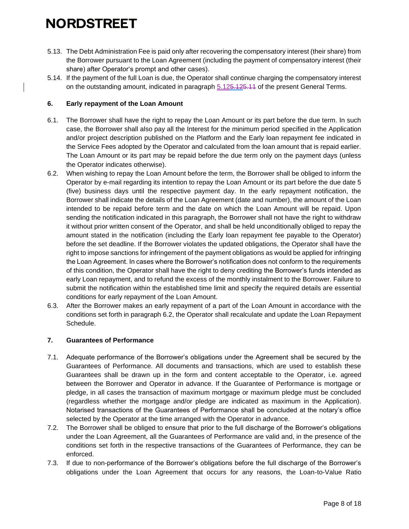- 5.13. The Debt Administration Fee is paid only after recovering the compensatory interest (their share) from the Borrower pursuant to the Loan Agreement (including the payment of compensatory interest (their share) after Operator's prompt and other cases).
- 5.14. If the payment of the full Loan is due, the Operator shall continue charging the compensatory interest on the outstanding amount, indicated in paragraph [5.125.125.11](#page-6-0) of the present General Terms.

#### **6. Early repayment of the Loan Amount**

- 6.1. The Borrower shall have the right to repay the Loan Amount or its part before the due term. In such case, the Borrower shall also pay all the Interest for the minimum period specified in the Application and/or project description published on the Platform and the Early loan repayment fee indicated in the Service Fees adopted by the Operator and calculated from the loan amount that is repaid earlier. The Loan Amount or its part may be repaid before the due term only on the payment days (unless the Operator indicates otherwise).
- <span id="page-7-0"></span>6.2. When wishing to repay the Loan Amount before the term, the Borrower shall be obliged to inform the Operator by e-mail regarding its intention to repay the Loan Amount or its part before the due date 5 (five) business days until the respective payment day. In the early repayment notification, the Borrower shall indicate the details of the Loan Agreement (date and number), the amount of the Loan intended to be repaid before term and the date on which the Loan Amount will be repaid. Upon sending the notification indicated in this paragraph, the Borrower shall not have the right to withdraw it without prior written consent of the Operator, and shall be held unconditionally obliged to repay the amount stated in the notification (including the Early loan repayment fee payable to the Operator) before the set deadline. If the Borrower violates the updated obligations, the Operator shall have the right to impose sanctions for infringement of the payment obligations as would be applied for infringing the Loan Agreement. In cases where the Borrower's notification does not conform to the requirements of this condition, the Operator shall have the right to deny crediting the Borrower's funds intended as early Loan repayment, and to refund the excess of the monthly instalment to the Borrower. Failure to submit the notification within the established time limit and specify the required details are essential conditions for early repayment of the Loan Amount.
- 6.3. After the Borrower makes an early repayment of a part of the Loan Amount in accordance with the conditions set forth in paragraph [6.2,](#page-7-0) the Operator shall recalculate and update the Loan Repayment Schedule.

#### **7. Guarantees of Performance**

- 7.1. Adequate performance of the Borrower's obligations under the Agreement shall be secured by the Guarantees of Performance. All documents and transactions, which are used to establish these Guarantees shall be drawn up in the form and content acceptable to the Operator, i.e. agreed between the Borrower and Operator in advance. If the Guarantee of Performance is mortgage or pledge, in all cases the transaction of maximum mortgage or maximum pledge must be concluded (regardless whether the mortgage and/or pledge are indicated as maximum in the Application). Notarised transactions of the Guarantees of Performance shall be concluded at the notary's office selected by the Operator at the time arranged with the Operator in advance.
- 7.2. The Borrower shall be obliged to ensure that prior to the full discharge of the Borrower's obligations under the Loan Agreement, all the Guarantees of Performance are valid and, in the presence of the conditions set forth in the respective transactions of the Guarantees of Performance, they can be enforced.
- <span id="page-7-1"></span>7.3. If due to non-performance of the Borrower's obligations before the full discharge of the Borrower's obligations under the Loan Agreement that occurs for any reasons, the Loan-to-Value Ratio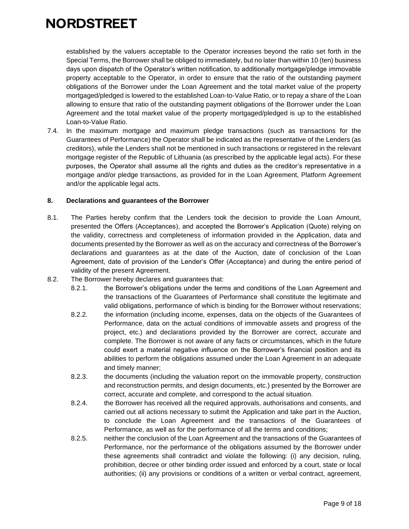established by the valuers acceptable to the Operator increases beyond the ratio set forth in the Special Terms, the Borrower shall be obliged to immediately, but no later than within 10 (ten) business days upon dispatch of the Operator's written notification, to additionally mortgage/pledge immovable property acceptable to the Operator, in order to ensure that the ratio of the outstanding payment obligations of the Borrower under the Loan Agreement and the total market value of the property mortgaged/pledged is lowered to the established Loan-to-Value Ratio, or to repay a share of the Loan allowing to ensure that ratio of the outstanding payment obligations of the Borrower under the Loan Agreement and the total market value of the property mortgaged/pledged is up to the established Loan-to-Value Ratio.

7.4. In the maximum mortgage and maximum pledge transactions (such as transactions for the Guarantees of Performance) the Operator shall be indicated as the representative of the Lenders (as creditors), while the Lenders shall not be mentioned in such transactions or registered in the relevant mortgage register of the Republic of Lithuania (as prescribed by the applicable legal acts). For these purposes, the Operator shall assume all the rights and duties as the creditor's representative in a mortgage and/or pledge transactions, as provided for in the Loan Agreement, Platform Agreement and/or the applicable legal acts.

#### **8. Declarations and guarantees of the Borrower**

- 8.1. The Parties hereby confirm that the Lenders took the decision to provide the Loan Amount, presented the Offers (Acceptances), and accepted the Borrower's Application (Quote) relying on the validity, correctness and completeness of information provided in the Application, data and documents presented by the Borrower as well as on the accuracy and correctness of the Borrower's declarations and guarantees as at the date of the Auction, date of conclusion of the Loan Agreement, date of provision of the Lender's Offer (Acceptance) and during the entire period of validity of the present Agreement.
- <span id="page-8-0"></span>8.2. The Borrower hereby declares and guarantees that:
	- 8.2.1. the Borrower's obligations under the terms and conditions of the Loan Agreement and the transactions of the Guarantees of Performance shall constitute the legitimate and valid obligations, performance of which is binding for the Borrower without reservations;
	- 8.2.2. the information (including income, expenses, data on the objects of the Guarantees of Performance, data on the actual conditions of immovable assets and progress of the project, etc.) and declarations provided by the Borrower are correct, accurate and complete. The Borrower is not aware of any facts or circumstances, which in the future could exert a material negative influence on the Borrower's financial position and its abilities to perform the obligations assumed under the Loan Agreement in an adequate and timely manner;
	- 8.2.3. the documents (including the valuation report on the immovable property, construction and reconstruction permits, and design documents, etc.) presented by the Borrower are correct, accurate and complete, and correspond to the actual situation.
	- 8.2.4. the Borrower has received all the required approvals, authorisations and consents, and carried out all actions necessary to submit the Application and take part in the Auction, to conclude the Loan Agreement and the transactions of the Guarantees of Performance, as well as for the performance of all the terms and conditions;
	- 8.2.5. neither the conclusion of the Loan Agreement and the transactions of the Guarantees of Performance, nor the performance of the obligations assumed by the Borrower under these agreements shall contradict and violate the following: (i) any decision, ruling, prohibition, decree or other binding order issued and enforced by a court, state or local authorities; (ii) any provisions or conditions of a written or verbal contract, agreement,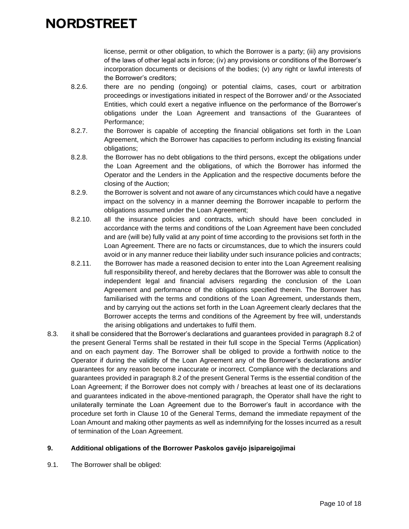license, permit or other obligation, to which the Borrower is a party; (iii) any provisions of the laws of other legal acts in force; (iv) any provisions or conditions of the Borrower's incorporation documents or decisions of the bodies; (v) any right or lawful interests of the Borrower's creditors;

- 8.2.6. there are no pending (ongoing) or potential claims, cases, court or arbitration proceedings or investigations initiated in respect of the Borrower and/ or the Associated Entities, which could exert a negative influence on the performance of the Borrower's obligations under the Loan Agreement and transactions of the Guarantees of Performance;
- 8.2.7. the Borrower is capable of accepting the financial obligations set forth in the Loan Agreement, which the Borrower has capacities to perform including its existing financial obligations;
- 8.2.8. the Borrower has no debt obligations to the third persons, except the obligations under the Loan Agreement and the obligations, of which the Borrower has informed the Operator and the Lenders in the Application and the respective documents before the closing of the Auction;
- 8.2.9. the Borrower is solvent and not aware of any circumstances which could have a negative impact on the solvency in a manner deeming the Borrower incapable to perform the obligations assumed under the Loan Agreement;
- 8.2.10. all the insurance policies and contracts, which should have been concluded in accordance with the terms and conditions of the Loan Agreement have been concluded and are (will be) fully valid at any point of time according to the provisions set forth in the Loan Agreement. There are no facts or circumstances, due to which the insurers could avoid or in any manner reduce their liability under such insurance policies and contracts;
- 8.2.11. the Borrower has made a reasoned decision to enter into the Loan Agreement realising full responsibility thereof, and hereby declares that the Borrower was able to consult the independent legal and financial advisers regarding the conclusion of the Loan Agreement and performance of the obligations specified therein. The Borrower has familiarised with the terms and conditions of the Loan Agreement, understands them, and by carrying out the actions set forth in the Loan Agreement clearly declares that the Borrower accepts the terms and conditions of the Agreement by free will, understands the arising obligations and undertakes to fulfil them.
- 8.3. it shall be considered that the Borrower's declarations and guarantees provided in paragraph [8.2](#page-8-0) of the present General Terms shall be restated in their full scope in the Special Terms (Application) and on each payment day. The Borrower shall be obliged to provide a forthwith notice to the Operator if during the validity of the Loan Agreement any of the Borrower's declarations and/or guarantees for any reason become inaccurate or incorrect. Compliance with the declarations and guarantees provided in paragraph [8.2](#page-8-0) of the present General Terms is the essential condition of the Loan Agreement; if the Borrower does not comply with / breaches at least one of its declarations and guarantees indicated in the above-mentioned paragraph, the Operator shall have the right to unilaterally terminate the Loan Agreement due to the Borrower's fault in accordance with the procedure set forth in Clause 10 of the General Terms, demand the immediate repayment of the Loan Amount and making other payments as well as indemnifying for the losses incurred as a result of termination of the Loan Agreement.

#### **9. Additional obligations of the Borrower Paskolos gavėjo įsipareigojimai**

<span id="page-9-0"></span>9.1. The Borrower shall be obliged: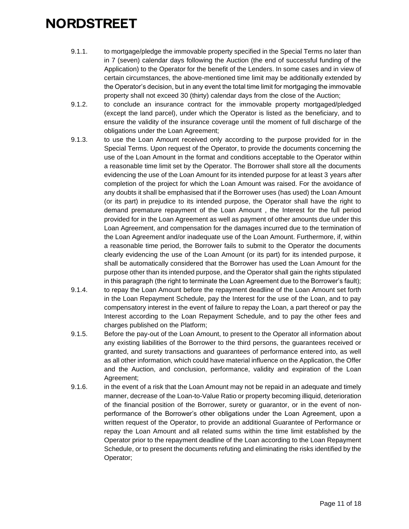- 9.1.1. to mortgage/pledge the immovable property specified in the Special Terms no later than in 7 (seven) calendar days following the Auction (the end of successful funding of the Application) to the Operator for the benefit of the Lenders. In some cases and in view of certain circumstances, the above-mentioned time limit may be additionally extended by the Operator's decision, but in any event the total time limit for mortgaging the immovable property shall not exceed 30 (thirty) calendar days from the close of the Auction;
- 9.1.2. to conclude an insurance contract for the immovable property mortgaged/pledged (except the land parcel), under which the Operator is listed as the beneficiary, and to ensure the validity of the insurance coverage until the moment of full discharge of the obligations under the Loan Agreement;
- 9.1.3. to use the Loan Amount received only according to the purpose provided for in the Special Terms. Upon request of the Operator, to provide the documents concerning the use of the Loan Amount in the format and conditions acceptable to the Operator within a reasonable time limit set by the Operator. The Borrower shall store all the documents evidencing the use of the Loan Amount for its intended purpose for at least 3 years after completion of the project for which the Loan Amount was raised. For the avoidance of any doubts it shall be emphasised that if the Borrower uses (has used) the Loan Amount (or its part) in prejudice to its intended purpose, the Operator shall have the right to demand premature repayment of the Loan Amount , the Interest for the full period provided for in the Loan Agreement as well as payment of other amounts due under this Loan Agreement, and compensation for the damages incurred due to the termination of the Loan Agreement and/or inadequate use of the Loan Amount. Furthermore, if, within a reasonable time period, the Borrower fails to submit to the Operator the documents clearly evidencing the use of the Loan Amount (or its part) for its intended purpose, it shall be automatically considered that the Borrower has used the Loan Amount for the purpose other than its intended purpose, and the Operator shall gain the rights stipulated in this paragraph (the right to terminate the Loan Agreement due to the Borrower's fault);
- 9.1.4. to repay the Loan Amount before the repayment deadline of the Loan Amount set forth in the Loan Repayment Schedule, pay the Interest for the use of the Loan, and to pay compensatory interest in the event of failure to repay the Loan, a part thereof or pay the Interest according to the Loan Repayment Schedule, and to pay the other fees and charges published on the Platform;
- 9.1.5. Before the pay-out of the Loan Amount, to present to the Operator all information about any existing liabilities of the Borrower to the third persons, the guarantees received or granted, and surety transactions and guarantees of performance entered into, as well as all other information, which could have material influence on the Application, the Offer and the Auction, and conclusion, performance, validity and expiration of the Loan Agreement;
- 9.1.6. in the event of a risk that the Loan Amount may not be repaid in an adequate and timely manner, decrease of the Loan-to-Value Ratio or property becoming illiquid, deterioration of the financial position of the Borrower, surety or guarantor, or in the event of nonperformance of the Borrower's other obligations under the Loan Agreement, upon a written request of the Operator, to provide an additional Guarantee of Performance or repay the Loan Amount and all related sums within the time limit established by the Operator prior to the repayment deadline of the Loan according to the Loan Repayment Schedule, or to present the documents refuting and eliminating the risks identified by the Operator;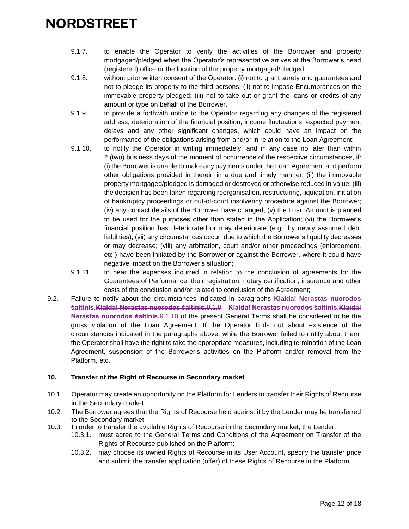- 9.1.7. to enable the Operator to verify the activities of the Borrower and property mortgaged/pledged when the Operator's representative arrives at the Borrower's head (registered) office or the location of the property mortgaged/pledged;
- 9.1.8. without prior written consent of the Operator: (i) not to grant surety and guarantees and not to pledge its property to the third persons; (ii) not to impose Encumbrances on the immovable property pledged; (iii) not to take out or grant the loans or credits of any amount or type on behalf of the Borrower.
- 9.1.9. to provide a forthwith notice to the Operator regarding any changes of the registered address, deterioration of the financial position, income fluctuations, expected payment delays and any other significant changes, which could have an impact on the performance of the obligations arising from and/or in relation to the Loan Agreement;
- 9.1.10. to notify the Operator in writing immediately, and in any case no later than within 2 (two) business days of the moment of occurrence of the respective circumstances, if: (i) the Borrower is unable to make any payments under the Loan Agreement and perform other obligations provided in therein in a due and timely manner; (ii) the immovable property mortgaged/pledged is damaged or destroyed or otherwise reduced in value; (iii) the decision has been taken regarding reorganisation, restructuring, liquidation, initiation of bankruptcy proceedings or out-of-court insolvency procedure against the Borrower; (iv) any contact details of the Borrower have changed; (v) the Loan Amount is planned to be used for the purposes other than stated in the Application; (vi) the Borrower's financial position has deteriorated or may deteriorate (e.g., by newly assumed debt liabilities); (vii) any circumstances occur, due to which the Borrower's liquidity decreases or may decrease; (viii) any arbitration, court and/or other proceedings (enforcement, etc.) have been initiated by the Borrower or against the Borrower, where it could have negative impact on the Borrower's situation;
- 9.1.11. to bear the expenses incurred in relation to the conclusion of agreements for the Guarantees of Performance, their registration, notary certification, insurance and other costs of the conclusion and/or related to conclusion of the Agreement;
- 9.2. Failure to notify about the circumstances indicated in paragraphs **Klaida! Nerastas nuorodos šaltinis.Klaida! Nerastas nuorodos šaltinis.**9.1.9 – **Klaida! Nerastas nuorodos šaltinis.Klaida! Nerastas nuorodos šaltinis.**9.1.10 of the present General Terms shall be considered to be the gross violation of the Loan Agreement. If the Operator finds out about existence of the circumstances indicated in the paragraphs above, while the Borrower failed to notify about them, the Operator shall have the right to take the appropriate measures, including termination of the Loan Agreement, suspension of the Borrower's activities on the Platform and/or removal from the Platform, etc.

#### **10. Transfer of the Right of Recourse in Secondary market**

- <span id="page-11-0"></span>10.1. Operator may create an opportunity on the Platform for Lenders to transfer their Rights of Recourse in the Secondary market.
- 10.2. The Borrower agrees that the Rights of Recourse held against it by the Lender may be transferred to the Secondary market.
- 10.3. In order to transfer the available Rights of Recourse in the Secondary market, the Lender:
	- 10.3.1. must agree to the General Terms and Conditions of the Agreement on Transfer of the Rights of Recourse published on the Platform;
	- 10.3.2. may choose its owned Rights of Recourse in its User Account, specify the transfer price and submit the transfer application (offer) of these Rights of Recourse in the Platform.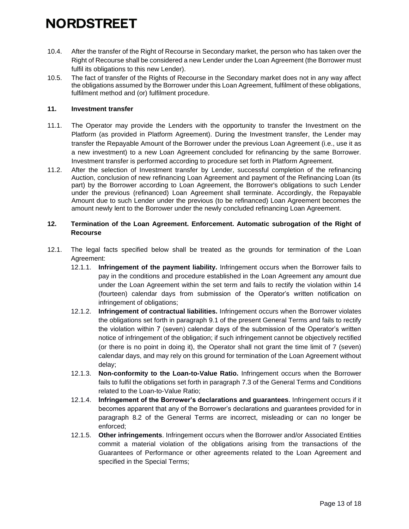- 10.4. After the transfer of the Right of Recourse in Secondary market, the person who has taken over the Right of Recourse shall be considered a new Lender under the Loan Agreement (the Borrower must fulfil its obligations to this new Lender).
- 10.5. The fact of transfer of the Rights of Recourse in the Secondary market does not in any way affect the obligations assumed by the Borrower under this Loan Agreement, fulfilment of these obligations, fulfilment method and (or) fulfilment procedure.

#### **11. Investment transfer**

- 11.1. The Operator may provide the Lenders with the opportunity to transfer the Investment on the Platform (as provided in Platform Agreement). During the Investment transfer, the Lender may transfer the Repayable Amount of the Borrower under the previous Loan Agreement (i.e., use it as a new investment) to a new Loan Agreement concluded for refinancing by the same Borrower. Investment transfer is performed according to procedure set forth in Platform Agreement.
- 11.2. After the selection of Investment transfer by Lender, successful completion of the refinancing Auction, conclusion of new refinancing Loan Agreement and payment of the Refinancing Loan (its part) by the Borrower according to Loan Agreement, the Borrower's obligations to such Lender under the previous (refinanced) Loan Agreement shall terminate. Accordingly, the Repayable Amount due to such Lender under the previous (to be refinanced) Loan Agreement becomes the amount newly lent to the Borrower under the newly concluded refinancing Loan Agreement.

#### **12. Termination of the Loan Agreement. Enforcement. Automatic subrogation of the Right of Recourse**

- 12.1. The legal facts specified below shall be treated as the grounds for termination of the Loan Agreement:
	- 12.1.1. **Infringement of the payment liability.** Infringement occurs when the Borrower fails to pay in the conditions and procedure established in the Loan Agreement any amount due under the Loan Agreement within the set term and fails to rectify the violation within 14 (fourteen) calendar days from submission of the Operator's written notification on infringement of obligations;
	- 12.1.2. **Infringement of contractual liabilities.** Infringement occurs when the Borrower violates the obligations set forth in paragraph [9.1](#page-9-0) of the present General Terms and fails to rectify the violation within 7 (seven) calendar days of the submission of the Operator's written notice of infringement of the obligation; if such infringement cannot be objectively rectified (or there is no point in doing it), the Operator shall not grant the time limit of 7 (seven) calendar days, and may rely on this ground for termination of the Loan Agreement without delay;
	- 12.1.3. **Non-conformity to the Loan-to-Value Ratio.** Infringement occurs when the Borrower fails to fulfil the obligations set forth in paragraph [7.3](#page-7-1) of the General Terms and Conditions related to the Loan-to-Value Ratio;
	- 12.1.4. **Infringement of the Borrower's declarations and guarantees**. Infringement occurs if it becomes apparent that any of the Borrower's declarations and guarantees provided for in paragraph [8.2](#page-8-0) of the General Terms are incorrect, misleading or can no longer be enforced;
	- 12.1.5. **Other infringements**. Infringement occurs when the Borrower and/or Associated Entities commit a material violation of the obligations arising from the transactions of the Guarantees of Performance or other agreements related to the Loan Agreement and specified in the Special Terms;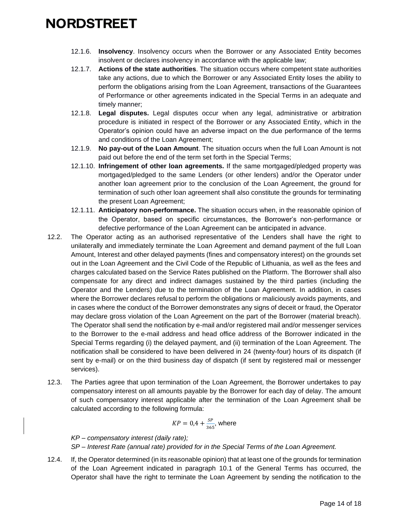- 12.1.6. **Insolvency**. Insolvency occurs when the Borrower or any Associated Entity becomes insolvent or declares insolvency in accordance with the applicable law;
- 12.1.7. **Actions of the state authorities**. The situation occurs where competent state authorities take any actions, due to which the Borrower or any Associated Entity loses the ability to perform the obligations arising from the Loan Agreement, transactions of the Guarantees of Performance or other agreements indicated in the Special Terms in an adequate and timely manner;
- 12.1.8. **Legal disputes.** Legal disputes occur when any legal, administrative or arbitration procedure is initiated in respect of the Borrower or any Associated Entity, which in the Operator's opinion could have an adverse impact on the due performance of the terms and conditions of the Loan Agreement;
- 12.1.9. **No pay-out of the Loan Amount**. The situation occurs when the full Loan Amount is not paid out before the end of the term set forth in the Special Terms;
- 12.1.10. **Infringement of other loan agreements.** If the same mortgaged/pledged property was mortgaged/pledged to the same Lenders (or other lenders) and/or the Operator under another loan agreement prior to the conclusion of the Loan Agreement, the ground for termination of such other loan agreement shall also constitute the grounds for terminating the present Loan Agreement;
- 12.1.11. **Anticipatory non-performance.** The situation occurs when, in the reasonable opinion of the Operator, based on specific circumstances, the Borrower's non-performance or defective performance of the Loan Agreement can be anticipated in advance.
- 12.2. The Operator acting as an authorised representative of the Lenders shall have the right to unilaterally and immediately terminate the Loan Agreement and demand payment of the full Loan Amount, Interest and other delayed payments (fines and compensatory interest) on the grounds set out in the Loan Agreement and the Civil Code of the Republic of Lithuania, as well as the fees and charges calculated based on the Service Rates published on the Platform. The Borrower shall also compensate for any direct and indirect damages sustained by the third parties (including the Operator and the Lenders) due to the termination of the Loan Agreement. In addition, in cases where the Borrower declares refusal to perform the obligations or maliciously avoids payments, and in cases where the conduct of the Borrower demonstrates any signs of deceit or fraud, the Operator may declare gross violation of the Loan Agreement on the part of the Borrower (material breach). The Operator shall send the notification by e-mail and/or registered mail and/or messenger services to the Borrower to the e-mail address and head office address of the Borrower indicated in the Special Terms regarding (i) the delayed payment, and (ii) termination of the Loan Agreement. The notification shall be considered to have been delivered in 24 (twenty-four) hours of its dispatch (if sent by e-mail) or on the third business day of dispatch (if sent by registered mail or messenger services).
- 12.3. The Parties agree that upon termination of the Loan Agreement, the Borrower undertakes to pay compensatory interest on all amounts payable by the Borrower for each day of delay. The amount of such compensatory interest applicable after the termination of the Loan Agreement shall be calculated according to the following formula:

$$
KP = 0.4 + \frac{SP}{365}
$$
, where

*KP – compensatory interest (daily rate); SP – Interest Rate (annual rate) provided for in the Special Terms of the Loan Agreement.*

12.4. If, the Operator determined (in its reasonable opinion) that at least one of the grounds for termination of the Loan Agreement indicated in paragraph [10.1](#page-11-0) of the General Terms has occurred, the Operator shall have the right to terminate the Loan Agreement by sending the notification to the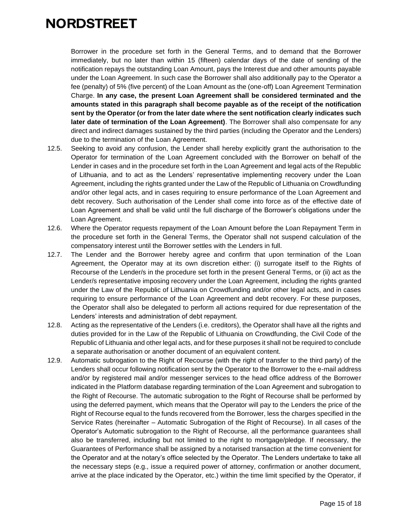Borrower in the procedure set forth in the General Terms, and to demand that the Borrower immediately, but no later than within 15 (fifteen) calendar days of the date of sending of the notification repays the outstanding Loan Amount, pays the Interest due and other amounts payable under the Loan Agreement. In such case the Borrower shall also additionally pay to the Operator a fee (penalty) of 5% (five percent) of the Loan Amount as the (one-off) Loan Agreement Termination Charge. **In any case, the present Loan Agreement shall be considered terminated and the amounts stated in this paragraph shall become payable as of the receipt of the notification sent by the Operator (or from the later date where the sent notification clearly indicates such later date of termination of the Loan Agreement)**. The Borrower shall also compensate for any direct and indirect damages sustained by the third parties (including the Operator and the Lenders) due to the termination of the Loan Agreement.

- 12.5. Seeking to avoid any confusion, the Lender shall hereby explicitly grant the authorisation to the Operator for termination of the Loan Agreement concluded with the Borrower on behalf of the Lender in cases and in the procedure set forth in the Loan Agreement and legal acts of the Republic of Lithuania, and to act as the Lenders' representative implementing recovery under the Loan Agreement, including the rights granted under the Law of the Republic of Lithuania on Crowdfunding and/or other legal acts, and in cases requiring to ensure performance of the Loan Agreement and debt recovery. Such authorisation of the Lender shall come into force as of the effective date of Loan Agreement and shall be valid until the full discharge of the Borrower's obligations under the Loan Agreement.
- 12.6. Where the Operator requests repayment of the Loan Amount before the Loan Repayment Term in the procedure set forth in the General Terms, the Operator shall not suspend calculation of the compensatory interest until the Borrower settles with the Lenders in full.
- 12.7. The Lender and the Borrower hereby agree and confirm that upon termination of the Loan Agreement, the Operator may at its own discretion either: (i) surrogate itself to the Rights of Recourse of the Lender/s in the procedure set forth in the present General Terms, or (ii) act as the Lender/s representative imposing recovery under the Loan Agreement, including the rights granted under the Law of the Republic of Lithuania on Crowdfunding and/or other legal acts, and in cases requiring to ensure performance of the Loan Agreement and debt recovery. For these purposes, the Operator shall also be delegated to perform all actions required for due representation of the Lenders' interests and administration of debt repayment.
- 12.8. Acting as the representative of the Lenders (i.e. creditors), the Operator shall have all the rights and duties provided for in the Law of the Republic of Lithuania on Crowdfunding, the Civil Code of the Republic of Lithuania and other legal acts, and for these purposes it shall not be required to conclude a separate authorisation or another document of an equivalent content.
- 12.9. Automatic subrogation to the Right of Recourse (with the right of transfer to the third party) of the Lenders shall occur following notification sent by the Operator to the Borrower to the e-mail address and/or by registered mail and/or messenger services to the head office address of the Borrower indicated in the Platform database regarding termination of the Loan Agreement and subrogation to the Right of Recourse. The automatic subrogation to the Right of Recourse shall be performed by using the deferred payment, which means that the Operator will pay to the Lenders the price of the Right of Recourse equal to the funds recovered from the Borrower, less the charges specified in the Service Rates (hereinafter – Automatic Subrogation of the Right of Recourse). In all cases of the Operator's Automatic subrogation to the Right of Recourse, all the performance guarantees shall also be transferred, including but not limited to the right to mortgage/pledge. If necessary, the Guarantees of Performance shall be assigned by a notarised transaction at the time convenient for the Operator and at the notary's office selected by the Operator. The Lenders undertake to take all the necessary steps (e.g., issue a required power of attorney, confirmation or another document, arrive at the place indicated by the Operator, etc.) within the time limit specified by the Operator, if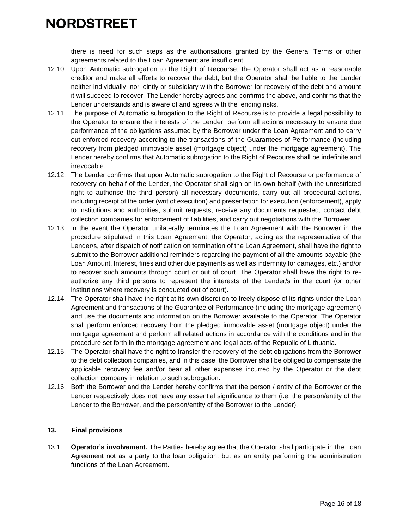there is need for such steps as the authorisations granted by the General Terms or other agreements related to the Loan Agreement are insufficient.

- 12.10. Upon Automatic subrogation to the Right of Recourse, the Operator shall act as a reasonable creditor and make all efforts to recover the debt, but the Operator shall be liable to the Lender neither individually, nor jointly or subsidiary with the Borrower for recovery of the debt and amount it will succeed to recover. The Lender hereby agrees and confirms the above, and confirms that the Lender understands and is aware of and agrees with the lending risks.
- 12.11. The purpose of Automatic subrogation to the Right of Recourse is to provide a legal possibility to the Operator to ensure the interests of the Lender, perform all actions necessary to ensure due performance of the obligations assumed by the Borrower under the Loan Agreement and to carry out enforced recovery according to the transactions of the Guarantees of Performance (including recovery from pledged immovable asset (mortgage object) under the mortgage agreement). The Lender hereby confirms that Automatic subrogation to the Right of Recourse shall be indefinite and irrevocable.
- 12.12. The Lender confirms that upon Automatic subrogation to the Right of Recourse or performance of recovery on behalf of the Lender, the Operator shall sign on its own behalf (with the unrestricted right to authorise the third person) all necessary documents, carry out all procedural actions, including receipt of the order (writ of execution) and presentation for execution (enforcement), apply to institutions and authorities, submit requests, receive any documents requested, contact debt collection companies for enforcement of liabilities, and carry out negotiations with the Borrower.
- 12.13. In the event the Operator unilaterally terminates the Loan Agreement with the Borrower in the procedure stipulated in this Loan Agreement, the Operator, acting as the representative of the Lender/s, after dispatch of notification on termination of the Loan Agreement, shall have the right to submit to the Borrower additional reminders regarding the payment of all the amounts payable (the Loan Amount, Interest, fines and other due payments as well as indemnity for damages, etc.) and/or to recover such amounts through court or out of court. The Operator shall have the right to reauthorize any third persons to represent the interests of the Lender/s in the court (or other institutions where recovery is conducted out of court).
- 12.14. The Operator shall have the right at its own discretion to freely dispose of its rights under the Loan Agreement and transactions of the Guarantee of Performance (including the mortgage agreement) and use the documents and information on the Borrower available to the Operator. The Operator shall perform enforced recovery from the pledged immovable asset (mortgage object) under the mortgage agreement and perform all related actions in accordance with the conditions and in the procedure set forth in the mortgage agreement and legal acts of the Republic of Lithuania.
- 12.15. The Operator shall have the right to transfer the recovery of the debt obligations from the Borrower to the debt collection companies, and in this case, the Borrower shall be obliged to compensate the applicable recovery fee and/or bear all other expenses incurred by the Operator or the debt collection company in relation to such subrogation.
- 12.16. Both the Borrower and the Lender hereby confirms that the person / entity of the Borrower or the Lender respectively does not have any essential significance to them (i.e. the person/entity of the Lender to the Borrower, and the person/entity of the Borrower to the Lender).

#### **13. Final provisions**

13.1. **Operator's involvement.** The Parties hereby agree that the Operator shall participate in the Loan Agreement not as a party to the loan obligation, but as an entity performing the administration functions of the Loan Agreement.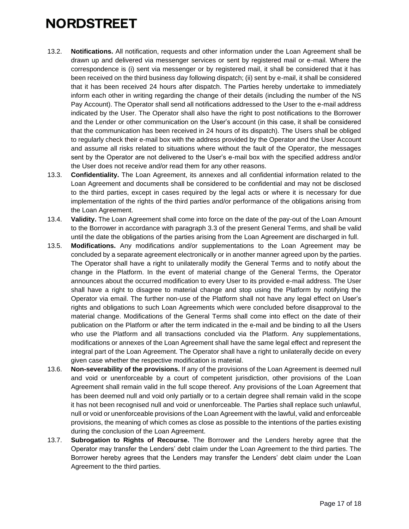- 13.2. **Notifications.** All notification, requests and other information under the Loan Agreement shall be drawn up and delivered via messenger services or sent by registered mail or e-mail. Where the correspondence is (i) sent via messenger or by registered mail, it shall be considered that it has been received on the third business day following dispatch; (ii) sent by e-mail, it shall be considered that it has been received 24 hours after dispatch. The Parties hereby undertake to immediately inform each other in writing regarding the change of their details (including the number of the NS Pay Account). The Operator shall send all notifications addressed to the User to the e-mail address indicated by the User. The Operator shall also have the right to post notifications to the Borrower and the Lender or other communication on the User's account (in this case, it shall be considered that the communication has been received in 24 hours of its dispatch). The Users shall be obliged to regularly check their e-mail box with the address provided by the Operator and the User Account and assume all risks related to situations where without the fault of the Operator, the messages sent by the Operator are not delivered to the User's e-mail box with the specified address and/or the User does not receive and/or read them for any other reasons.
- 13.3. **Confidentiality.** The Loan Agreement, its annexes and all confidential information related to the Loan Agreement and documents shall be considered to be confidential and may not be disclosed to the third parties, except in cases required by the legal acts or where it is necessary for due implementation of the rights of the third parties and/or performance of the obligations arising from the Loan Agreement.
- 13.4. **Validity.** The Loan Agreement shall come into force on the date of the pay-out of the Loan Amount to the Borrower in accordance with paragraph [3.3](#page-3-0) of the present General Terms, and shall be valid until the date the obligations of the parties arising from the Loan Agreement are discharged in full.
- 13.5. **Modifications.** Any modifications and/or supplementations to the Loan Agreement may be concluded by a separate agreement electronically or in another manner agreed upon by the parties. The Operator shall have a right to unilaterally modify the General Terms and to notify about the change in the Platform. In the event of material change of the General Terms, the Operator announces about the occurred modification to every User to its provided e-mail address. The User shall have a right to disagree to material change and stop using the Platform by notifying the Operator via email. The further non-use of the Platform shall not have any legal effect on User's rights and obligations to such Loan Agreements which were concluded before disapproval to the material change. Modifications of the General Terms shall come into effect on the date of their publication on the Platform or after the term indicated in the e-mail and be binding to all the Users who use the Platform and all transactions concluded via the Platform. Any supplementations, modifications or annexes of the Loan Agreement shall have the same legal effect and represent the integral part of the Loan Agreement. The Operator shall have a right to unilaterally decide on every given case whether the respective modification is material.
- 13.6. **Non-severability of the provisions.** If any of the provisions of the Loan Agreement is deemed null and void or unenforceable by a court of competent jurisdiction, other provisions of the Loan Agreement shall remain valid in the full scope thereof. Any provisions of the Loan Agreement that has been deemed null and void only partially or to a certain degree shall remain valid in the scope it has not been recognised null and void or unenforceable. The Parties shall replace such unlawful, null or void or unenforceable provisions of the Loan Agreement with the lawful, valid and enforceable provisions, the meaning of which comes as close as possible to the intentions of the parties existing during the conclusion of the Loan Agreement.
- 13.7. **Subrogation to Rights of Recourse.** The Borrower and the Lenders hereby agree that the Operator may transfer the Lenders' debt claim under the Loan Agreement to the third parties. The Borrower hereby agrees that the Lenders may transfer the Lenders' debt claim under the Loan Agreement to the third parties.